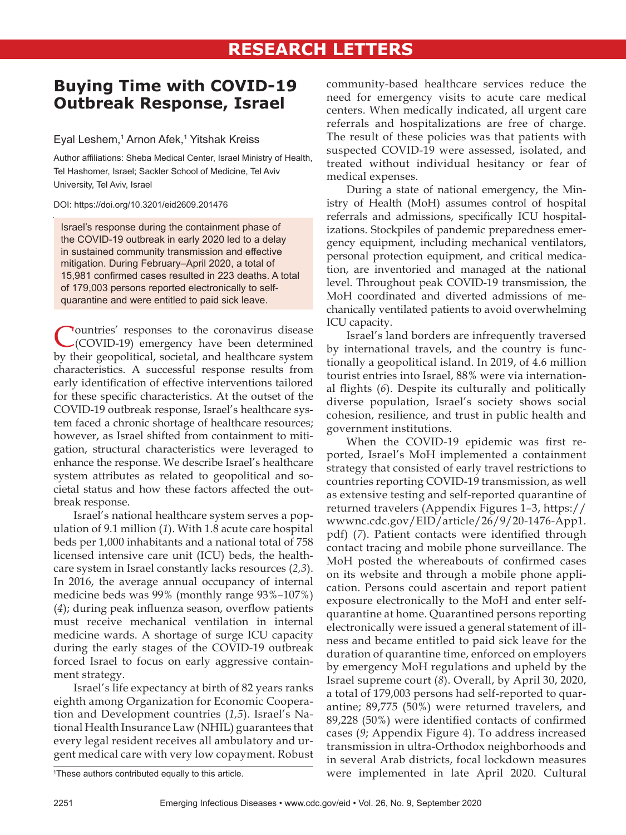# **Buying Time with COVID-19 Outbreak Response, Israel**

## Eyal Leshem,<sup>1</sup> Arnon Afek,<sup>1</sup> Yitshak Kreiss

Author affiliations: Sheba Medical Center, Israel Ministry of Health, Tel Hashomer, Israel; Sackler School of Medicine, Tel Aviv University, Tel Aviv, Israel

### DOI: https://doi.org/10.3201/eid2609.201476

Israel's response during the containment phase of the COVID-19 outbreak in early 2020 led to a delay in sustained community transmission and effective mitigation. During February–April 2020, a total of 15,981 confirmed cases resulted in 223 deaths. A total of 179,003 persons reported electronically to selfquarantine and were entitled to paid sick leave.

Countries' responses to the coronavirus disease (COVID-19) emergency have been determined by their geopolitical, societal, and healthcare system characteristics. A successful response results from early identification of effective interventions tailored for these specific characteristics. At the outset of the COVID-19 outbreak response, Israel's healthcare system faced a chronic shortage of healthcare resources; however, as Israel shifted from containment to mitigation, structural characteristics were leveraged to enhance the response. We describe Israel's healthcare system attributes as related to geopolitical and societal status and how these factors affected the outbreak response.

Israel's national healthcare system serves a population of 9.1 million (*1*). With 1.8 acute care hospital beds per 1,000 inhabitants and a national total of 758 licensed intensive care unit (ICU) beds, the healthcare system in Israel constantly lacks resources (*2,3*). In 2016, the average annual occupancy of internal medicine beds was 99% (monthly range 93%–107%) (*4*); during peak influenza season, overflow patients must receive mechanical ventilation in internal medicine wards. A shortage of surge ICU capacity during the early stages of the COVID-19 outbreak forced Israel to focus on early aggressive containment strategy.

Israel's life expectancy at birth of 82 years ranks eighth among Organization for Economic Cooperation and Development countries (*1,5*). Israel's National Health Insurance Law (NHIL) guarantees that every legal resident receives all ambulatory and urgent medical care with very low copayment. Robust

community-based healthcare services reduce the need for emergency visits to acute care medical centers. When medically indicated, all urgent care referrals and hospitalizations are free of charge. The result of these policies was that patients with suspected COVID-19 were assessed, isolated, and treated without individual hesitancy or fear of medical expenses.

During a state of national emergency, the Ministry of Health (MoH) assumes control of hospital referrals and admissions, specifically ICU hospitalizations. Stockpiles of pandemic preparedness emergency equipment, including mechanical ventilators, personal protection equipment, and critical medication, are inventoried and managed at the national level. Throughout peak COVID-19 transmission, the MoH coordinated and diverted admissions of mechanically ventilated patients to avoid overwhelming ICU capacity.

Israel's land borders are infrequently traversed by international travels, and the country is functionally a geopolitical island. In 2019, of 4.6 million tourist entries into Israel, 88% were via international flights (*6*). Despite its culturally and politically diverse population, Israel's society shows social cohesion, resilience, and trust in public health and government institutions.

When the COVID-19 epidemic was first reported, Israel's MoH implemented a containment strategy that consisted of early travel restrictions to countries reporting COVID-19 transmission, as well as extensive testing and self-reported quarantine of returned travelers (Appendix Figures 1–3, https:// wwwnc.cdc.gov/EID/article/26/9/20-1476-App1. pdf) (*7*). Patient contacts were identified through contact tracing and mobile phone surveillance. The MoH posted the whereabouts of confirmed cases on its website and through a mobile phone application. Persons could ascertain and report patient exposure electronically to the MoH and enter selfquarantine at home. Quarantined persons reporting electronically were issued a general statement of illness and became entitled to paid sick leave for the duration of quarantine time, enforced on employers by emergency MoH regulations and upheld by the Israel supreme court (*8*). Overall, by April 30, 2020, a total of 179,003 persons had self-reported to quarantine; 89,775 (50%) were returned travelers, and 89,228 (50%) were identified contacts of confirmed cases (*9*; Appendix Figure 4). To address increased transmission in ultra-Orthodox neighborhoods and in several Arab districts, focal lockdown measures were implemented in late April 2020. Cultural

<sup>1</sup> These authors contributed equally to this article.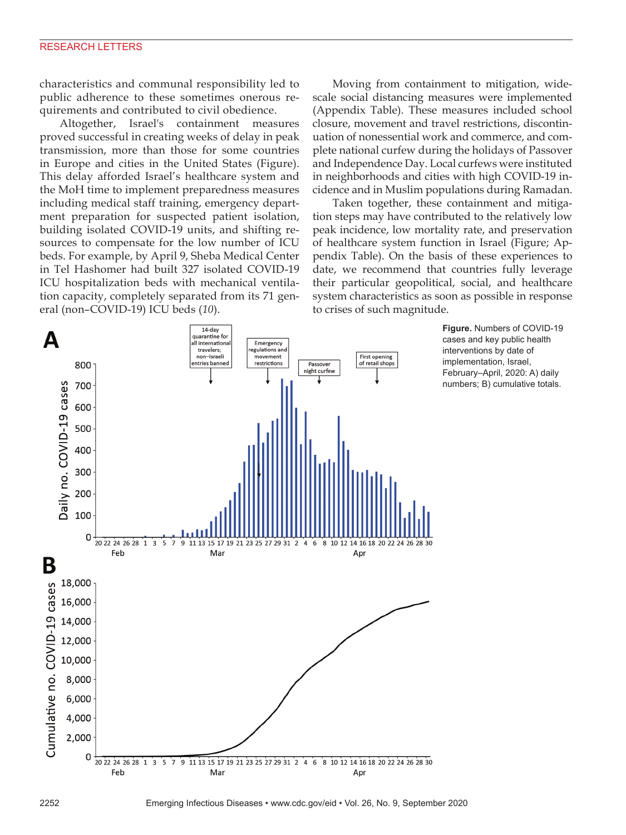### RESEARCH LETTERS

characteristics and communal responsibility led to public adherence to these sometimes onerous requirements and contributed to civil obedience.

Altogether, Israel's containment measures proved successful in creating weeks of delay in peak transmission, more than those for some countries in Europe and cities in the United States (Figure). This delay afforded Israel's healthcare system and the MoH time to implement preparedness measures including medical staff training, emergency department preparation for suspected patient isolation, building isolated COVID-19 units, and shifting resources to compensate for the low number of ICU beds. For example, by April 9, Sheba Medical Center in Tel Hashomer had built 327 isolated COVID-19 ICU hospitalization beds with mechanical ventilation capacity, completely separated from its 71 general (non–COVID-19) ICU beds (*10*).

Moving from containment to mitigation, widescale social distancing measures were implemented (Appendix Table). These measures included school closure, movement and travel restrictions, discontinuation of nonessential work and commerce, and complete national curfew during the holidays of Passover and Independence Day. Local curfews were instituted in neighborhoods and cities with high COVID-19 incidence and in Muslim populations during Ramadan.

Taken together, these containment and mitigation steps may have contributed to the relatively low peak incidence, low mortality rate, and preservation of healthcare system function in Israel (Figure; Appendix Table). On the basis of these experiences to date, we recommend that countries fully leverage their particular geopolitical, social, and healthcare system characteristics as soon as possible in response to crises of such magnitude.



cases and key public health interventions by date of implementation, Israel, February–April, 2020: A) daily numbers; B) cumulative totals.